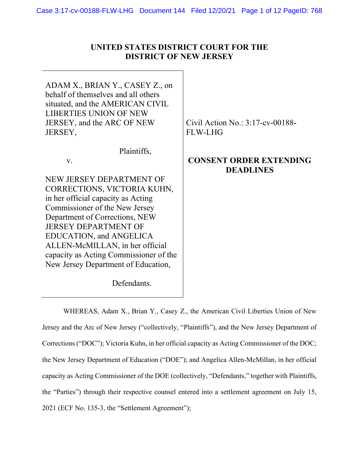| UNITED STATES DISTRICT COURT FOR THE |
|--------------------------------------|
| <b>DISTRICT OF NEW JERSEY</b>        |

ADAM X., BRIAN Y., CASEY Z., on behalf of themselves and all others situated, and the AMERICAN CIVIL LIBERTIES UNION OF NEW JERSEY, and the ARC OF NEW JERSEY,

v.

Plaintiffs,

NEW JERSEY DEPARTMENT OF CORRECTIONS, VICTORIA KUHN, in her official capacity as Acting Commissioner of the New Jersey Department of Corrections, NEW JERSEY DEPARTMENT OF EDUCATION, and ANGELICA ALLEN-McMILLAN, in her official capacity as Acting Commissioner of the New Jersey Department of Education,

Defendants.

Civil Action No.: 3:17-cv-00188- FLW-LHG

# **CONSENT ORDER EXTENDING DEADLINES**

WHEREAS, Adam X., Brian Y., Casey Z., the American Civil Liberties Union of New Jersey and the Arc of New Jersey ("collectively, "Plaintiffs"), and the New Jersey Department of Corrections ("DOC"); Victoria Kuhn, in her official capacity as Acting Commissioner of the DOC; the New Jersey Department of Education ("DOE"); and Angelica Allen-McMillan, in her official capacity as Acting Commissioner of the DOE (collectively, "Defendants," together with Plaintiffs, the "Parties") through their respective counsel entered into a settlement agreement on July 15, 2021 (ECF No. 135-3, the "Settlement Agreement");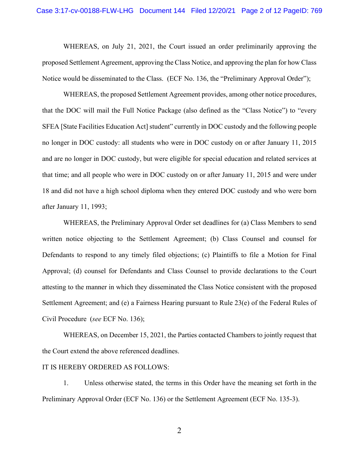WHEREAS, on July 21, 2021, the Court issued an order preliminarily approving the proposed Settlement Agreement, approving the Class Notice, and approving the plan for how Class Notice would be disseminated to the Class. (ECF No. 136, the "Preliminary Approval Order");

WHEREAS, the proposed Settlement Agreement provides, among other notice procedures, that the DOC will mail the Full Notice Package (also defined as the "Class Notice") to "every SFEA [State Facilities Education Act] student" currently in DOC custody and the following people no longer in DOC custody: all students who were in DOC custody on or after January 11, 2015 and are no longer in DOC custody, but were eligible for special education and related services at that time; and all people who were in DOC custody on or after January 11, 2015 and were under 18 and did not have a high school diploma when they entered DOC custody and who were born after January 11, 1993;

WHEREAS, the Preliminary Approval Order set deadlines for (a) Class Members to send written notice objecting to the Settlement Agreement; (b) Class Counsel and counsel for Defendants to respond to any timely filed objections; (c) Plaintiffs to file a Motion for Final Approval; (d) counsel for Defendants and Class Counsel to provide declarations to the Court attesting to the manner in which they disseminated the Class Notice consistent with the proposed Settlement Agreement; and (e) a Fairness Hearing pursuant to Rule 23(e) of the Federal Rules of Civil Procedure (*see* ECF No. 136);

WHEREAS, on December 15, 2021, the Parties contacted Chambers to jointly request that the Court extend the above referenced deadlines.

#### IT IS HEREBY ORDERED AS FOLLOWS:

1. Unless otherwise stated, the terms in this Order have the meaning set forth in the Preliminary Approval Order (ECF No. 136) or the Settlement Agreement (ECF No. 135-3).

2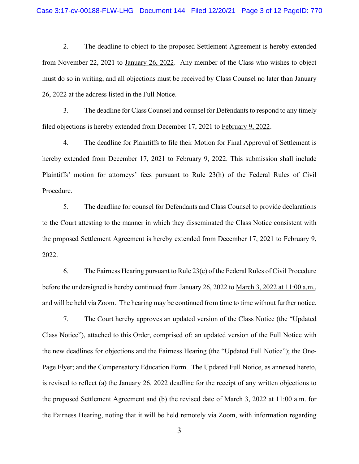2. The deadline to object to the proposed Settlement Agreement is hereby extended from November 22, 2021 to January 26, 2022. Any member of the Class who wishes to object must do so in writing, and all objections must be received by Class Counsel no later than January 26, 2022 at the address listed in the Full Notice.

3. The deadline for Class Counsel and counsel for Defendants to respond to any timely filed objections is hereby extended from December 17, 2021 to February 9, 2022.

4. The deadline for Plaintiffs to file their Motion for Final Approval of Settlement is hereby extended from December 17, 2021 to February 9, 2022. This submission shall include Plaintiffs' motion for attorneys' fees pursuant to Rule 23(h) of the Federal Rules of Civil Procedure.

5. The deadline for counsel for Defendants and Class Counsel to provide declarations to the Court attesting to the manner in which they disseminated the Class Notice consistent with the proposed Settlement Agreement is hereby extended from December 17, 2021 to February 9, 2022.

6. The Fairness Hearing pursuant to Rule 23(e) of the Federal Rules of Civil Procedure before the undersigned is hereby continued from January 26, 2022 to March 3, 2022 at 11:00 a.m., and will be held via Zoom. The hearing may be continued from time to time without further notice.

7. The Court hereby approves an updated version of the Class Notice (the "Updated Class Notice"), attached to this Order, comprised of: an updated version of the Full Notice with the new deadlines for objections and the Fairness Hearing (the "Updated Full Notice"); the One-Page Flyer; and the Compensatory Education Form. The Updated Full Notice, as annexed hereto, is revised to reflect (a) the January 26, 2022 deadline for the receipt of any written objections to the proposed Settlement Agreement and (b) the revised date of March 3, 2022 at 11:00 a.m. for the Fairness Hearing, noting that it will be held remotely via Zoom, with information regarding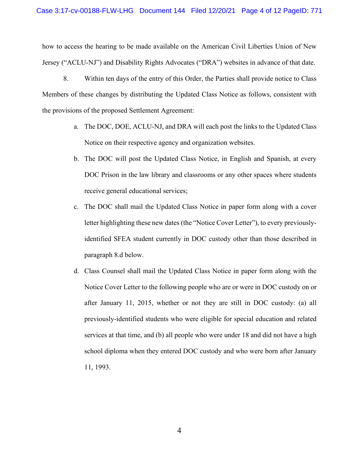how to access the hearing to be made available on the American Civil Liberties Union of New Jersey ("ACLU-NJ") and Disability Rights Advocates ("DRA") websites in advance of that date.

8. Within ten days of the entry of this Order, the Parties shall provide notice to Class Members of these changes by distributing the Updated Class Notice as follows, consistent with the provisions of the proposed Settlement Agreement:

- a. The DOC, DOE, ACLU-NJ, and DRA will each post the links to the Updated Class Notice on their respective agency and organization websites.
- b. The DOC will post the Updated Class Notice, in English and Spanish, at every DOC Prison in the law library and classrooms or any other spaces where students receive general educational services;
- c. The DOC shall mail the Updated Class Notice in paper form along with a cover letter highlighting these new dates (the "Notice Cover Letter"), to every previouslyidentified SFEA student currently in DOC custody other than those described in paragraph 8.d below.
- d. Class Counsel shall mail the Updated Class Notice in paper form along with the Notice Cover Letter to the following people who are or were in DOC custody on or after January 11, 2015, whether or not they are still in DOC custody: (a) all previously-identified students who were eligible for special education and related services at that time, and (b) all people who were under 18 and did not have a high school diploma when they entered DOC custody and who were born after January 11, 1993.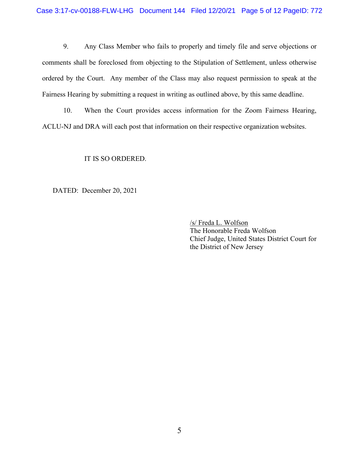9. Any Class Member who fails to properly and timely file and serve objections or comments shall be foreclosed from objecting to the Stipulation of Settlement, unless otherwise ordered by the Court. Any member of the Class may also request permission to speak at the Fairness Hearing by submitting a request in writing as outlined above, by this same deadline.

10. When the Court provides access information for the Zoom Fairness Hearing, ACLU-NJ and DRA will each post that information on their respective organization websites.

IT IS SO ORDERED.

DATED: December 20, 2021

/s/ Freda L. Wolfson The Honorable Freda Wolfson Chief Judge, United States District Court for the District of New Jersey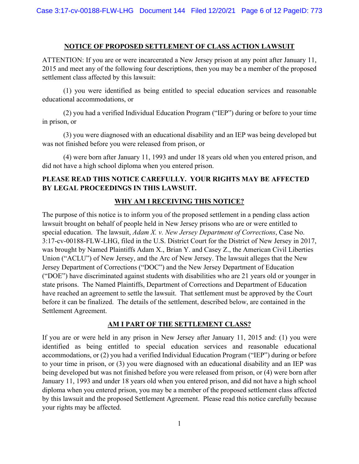#### **NOTICE OF PROPOSED SETTLEMENT OF CLASS ACTION LAWSUIT**

ATTENTION: If you are or were incarcerated a New Jersey prison at any point after January 11, 2015 and meet any of the following four descriptions, then you may be a member of the proposed settlement class affected by this lawsuit:

(1) you were identified as being entitled to special education services and reasonable educational accommodations, or

(2) you had a verified Individual Education Program ("IEP") during or before to your time in prison, or

(3) you were diagnosed with an educational disability and an IEP was being developed but was not finished before you were released from prison, or

(4) were born after January 11, 1993 and under 18 years old when you entered prison, and did not have a high school diploma when you entered prison.

# **PLEASE READ THIS NOTICE CAREFULLY. YOUR RIGHTS MAY BE AFFECTED BY LEGAL PROCEEDINGS IN THIS LAWSUIT.**

# **WHY AM I RECEIVING THIS NOTICE?**

The purpose of this notice is to inform you of the proposed settlement in a pending class action lawsuit brought on behalf of people held in New Jersey prisons who are or were entitled to special education. The lawsuit, *Adam X. v. New Jersey Department of Corrections*, Case No. 3:17-cv-00188-FLW-LHG, filed in the U.S. District Court for the District of New Jersey in 2017, was brought by Named Plaintiffs Adam X., Brian Y. and Casey Z., the American Civil Liberties Union ("ACLU") of New Jersey, and the Arc of New Jersey. The lawsuit alleges that the New Jersey Department of Corrections ("DOC") and the New Jersey Department of Education ("DOE") have discriminated against students with disabilities who are 21 years old or younger in state prisons. The Named Plaintiffs, Department of Corrections and Department of Education have reached an agreement to settle the lawsuit. That settlement must be approved by the Court before it can be finalized. The details of the settlement, described below, are contained in the Settlement Agreement.

### **AM I PART OF THE SETTLEMENT CLASS?**

If you are or were held in any prison in New Jersey after January 11, 2015 and: (1) you were identified as being entitled to special education services and reasonable educational accommodations, or (2) you had a verified Individual Education Program ("IEP") during or before to your time in prison, or (3) you were diagnosed with an educational disability and an IEP was being developed but was not finished before you were released from prison, or (4) were born after January 11, 1993 and under 18 years old when you entered prison, and did not have a high school diploma when you entered prison, you may be a member of the proposed settlement class affected by this lawsuit and the proposed Settlement Agreement. Please read this notice carefully because your rights may be affected.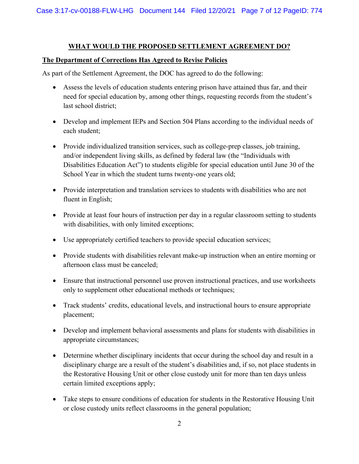#### **WHAT WOULD THE PROPOSED SETTLEMENT AGREEMENT DO?**

#### **The Department of Corrections Has Agreed to Revise Policies**

As part of the Settlement Agreement, the DOC has agreed to do the following:

- Assess the levels of education students entering prison have attained thus far, and their need for special education by, among other things, requesting records from the student's last school district;
- Develop and implement IEPs and Section 504 Plans according to the individual needs of each student;
- Provide individualized transition services, such as college-prep classes, job training, and/or independent living skills, as defined by federal law (the "Individuals with Disabilities Education Act") to students eligible for special education until June 30 of the School Year in which the student turns twenty-one years old;
- Provide interpretation and translation services to students with disabilities who are not fluent in English;
- Provide at least four hours of instruction per day in a regular classroom setting to students with disabilities, with only limited exceptions;
- Use appropriately certified teachers to provide special education services;
- Provide students with disabilities relevant make-up instruction when an entire morning or afternoon class must be canceled;
- Ensure that instructional personnel use proven instructional practices, and use worksheets only to supplement other educational methods or techniques;
- Track students' credits, educational levels, and instructional hours to ensure appropriate placement;
- Develop and implement behavioral assessments and plans for students with disabilities in appropriate circumstances;
- Determine whether disciplinary incidents that occur during the school day and result in a disciplinary charge are a result of the student's disabilities and, if so, not place students in the Restorative Housing Unit or other close custody unit for more than ten days unless certain limited exceptions apply;
- Take steps to ensure conditions of education for students in the Restorative Housing Unit or close custody units reflect classrooms in the general population;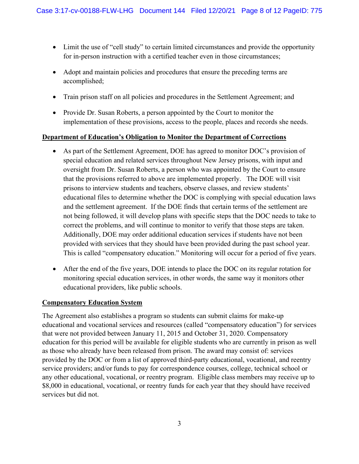- Limit the use of "cell study" to certain limited circumstances and provide the opportunity for in-person instruction with a certified teacher even in those circumstances;
- Adopt and maintain policies and procedures that ensure the preceding terms are accomplished;
- Train prison staff on all policies and procedures in the Settlement Agreement; and
- Provide Dr. Susan Roberts, a person appointed by the Court to monitor the implementation of these provisions, access to the people, places and records she needs.

### **Department of Education's Obligation to Monitor the Department of Corrections**

- As part of the Settlement Agreement, DOE has agreed to monitor DOC's provision of special education and related services throughout New Jersey prisons, with input and oversight from Dr. Susan Roberts, a person who was appointed by the Court to ensure that the provisions referred to above are implemented properly. The DOE will visit prisons to interview students and teachers, observe classes, and review students' educational files to determine whether the DOC is complying with special education laws and the settlement agreement. If the DOE finds that certain terms of the settlement are not being followed, it will develop plans with specific steps that the DOC needs to take to correct the problems, and will continue to monitor to verify that those steps are taken. Additionally, DOE may order additional education services if students have not been provided with services that they should have been provided during the past school year. This is called "compensatory education." Monitoring will occur for a period of five years.
- After the end of the five years, DOE intends to place the DOC on its regular rotation for monitoring special education services, in other words, the same way it monitors other educational providers, like public schools.

### **Compensatory Education System**

The Agreement also establishes a program so students can submit claims for make-up educational and vocational services and resources (called "compensatory education") for services that were not provided between January 11, 2015 and October 31, 2020. Compensatory education for this period will be available for eligible students who are currently in prison as well as those who already have been released from prison. The award may consist of: services provided by the DOC or from a list of approved third-party educational, vocational, and reentry service providers; and/or funds to pay for correspondence courses, college, technical school or any other educational, vocational, or reentry program. Eligible class members may receive up to \$8,000 in educational, vocational, or reentry funds for each year that they should have received services but did not.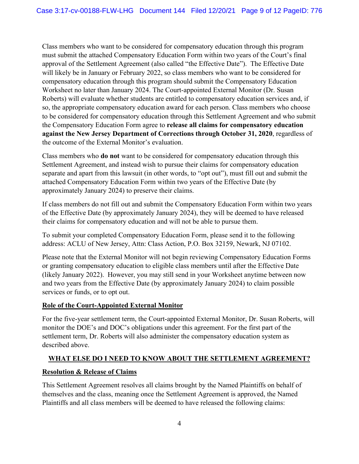Class members who want to be considered for compensatory education through this program must submit the attached Compensatory Education Form within two years of the Court's final approval of the Settlement Agreement (also called "the Effective Date"). The Effective Date will likely be in January or February 2022, so class members who want to be considered for compensatory education through this program should submit the Compensatory Education Worksheet no later than January 2024. The Court-appointed External Monitor (Dr. Susan Roberts) will evaluate whether students are entitled to compensatory education services and, if so, the appropriate compensatory education award for each person. Class members who choose to be considered for compensatory education through this Settlement Agreement and who submit the Compensatory Education Form agree to **release all claims for compensatory education against the New Jersey Department of Corrections through October 31, 2020**, regardless of the outcome of the External Monitor's evaluation.

Class members who **do not** want to be considered for compensatory education through this Settlement Agreement, and instead wish to pursue their claims for compensatory education separate and apart from this lawsuit (in other words, to "opt out"), must fill out and submit the attached Compensatory Education Form within two years of the Effective Date (by approximately January 2024) to preserve their claims.

If class members do not fill out and submit the Compensatory Education Form within two years of the Effective Date (by approximately January 2024), they will be deemed to have released their claims for compensatory education and will not be able to pursue them.

To submit your completed Compensatory Education Form, please send it to the following address: ACLU of New Jersey, Attn: Class Action, P.O. Box 32159, Newark, NJ 07102.

Please note that the External Monitor will not begin reviewing Compensatory Education Forms or granting compensatory education to eligible class members until after the Effective Date (likely January 2022). However, you may still send in your Worksheet anytime between now and two years from the Effective Date (by approximately January 2024) to claim possible services or funds, or to opt out.

### **Role of the Court-Appointed External Monitor**

For the five-year settlement term, the Court-appointed External Monitor, Dr. Susan Roberts, will monitor the DOE's and DOC's obligations under this agreement. For the first part of the settlement term, Dr. Roberts will also administer the compensatory education system as described above.

### **WHAT ELSE DO I NEED TO KNOW ABOUT THE SETTLEMENT AGREEMENT?**

#### **Resolution & Release of Claims**

This Settlement Agreement resolves all claims brought by the Named Plaintiffs on behalf of themselves and the class, meaning once the Settlement Agreement is approved, the Named Plaintiffs and all class members will be deemed to have released the following claims: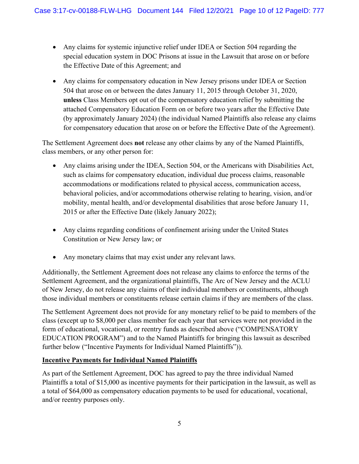- Any claims for systemic injunctive relief under IDEA or Section 504 regarding the special education system in DOC Prisons at issue in the Lawsuit that arose on or before the Effective Date of this Agreement; and
- Any claims for compensatory education in New Jersey prisons under IDEA or Section 504 that arose on or between the dates January 11, 2015 through October 31, 2020, **unless** Class Members opt out of the compensatory education relief by submitting the attached Compensatory Education Form on or before two years after the Effective Date (by approximately January 2024) (the individual Named Plaintiffs also release any claims for compensatory education that arose on or before the Effective Date of the Agreement).

The Settlement Agreement does **not** release any other claims by any of the Named Plaintiffs, class members, or any other person for:

- Any claims arising under the IDEA, Section 504, or the Americans with Disabilities Act, such as claims for compensatory education, individual due process claims, reasonable accommodations or modifications related to physical access, communication access, behavioral policies, and/or accommodations otherwise relating to hearing, vision, and/or mobility, mental health, and/or developmental disabilities that arose before January 11, 2015 or after the Effective Date (likely January 2022);
- Any claims regarding conditions of confinement arising under the United States Constitution or New Jersey law; or
- Any monetary claims that may exist under any relevant laws.

Additionally, the Settlement Agreement does not release any claims to enforce the terms of the Settlement Agreement, and the organizational plaintiffs, The Arc of New Jersey and the ACLU of New Jersey, do not release any claims of their individual members or constituents, although those individual members or constituents release certain claims if they are members of the class.

The Settlement Agreement does not provide for any monetary relief to be paid to members of the class (except up to \$8,000 per class member for each year that services were not provided in the form of educational, vocational, or reentry funds as described above ("COMPENSATORY EDUCATION PROGRAM") and to the Named Plaintiffs for bringing this lawsuit as described further below ("Incentive Payments for Individual Named Plaintiffs")).

### **Incentive Payments for Individual Named Plaintiffs**

As part of the Settlement Agreement, DOC has agreed to pay the three individual Named Plaintiffs a total of \$15,000 as incentive payments for their participation in the lawsuit, as well as a total of \$64,000 as compensatory education payments to be used for educational, vocational, and/or reentry purposes only.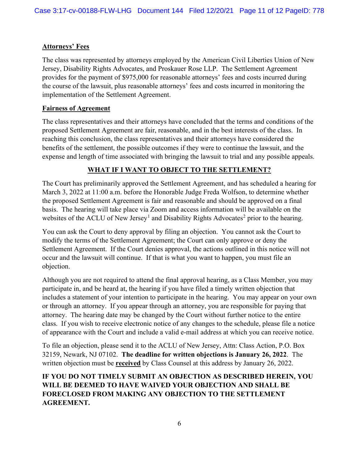## **Attorneys' Fees**

The class was represented by attorneys employed by the American Civil Liberties Union of New Jersey, Disability Rights Advocates, and Proskauer Rose LLP. The Settlement Agreement provides for the payment of \$975,000 for reasonable attorneys' fees and costs incurred during the course of the lawsuit, plus reasonable attorneys' fees and costs incurred in monitoring the implementation of the Settlement Agreement.

### **Fairness of Agreement**

The class representatives and their attorneys have concluded that the terms and conditions of the proposed Settlement Agreement are fair, reasonable, and in the best interests of the class. In reaching this conclusion, the class representatives and their attorneys have considered the benefits of the settlement, the possible outcomes if they were to continue the lawsuit, and the expense and length of time associated with bringing the lawsuit to trial and any possible appeals.

# **WHAT IF I WANT TO OBJECT TO THE SETTLEMENT?**

The Court has preliminarily approved the Settlement Agreement, and has scheduled a hearing for March 3, 2022 at 11:00 a.m. before the Honorable Judge Freda Wolfson, to determine whether the proposed Settlement Agreement is fair and reasonable and should be approved on a final basis. The hearing will take place via Zoom and access information will be available on the websites of the ACLU of New Jersey<sup>[1](#page-11-0)</sup> and Disability Rights Advocates<sup>[2](#page-11-1)</sup> prior to the hearing.

You can ask the Court to deny approval by filing an objection. You cannot ask the Court to modify the terms of the Settlement Agreement; the Court can only approve or deny the Settlement Agreement. If the Court denies approval, the actions outlined in this notice will not occur and the lawsuit will continue. If that is what you want to happen, you must file an objection.

Although you are not required to attend the final approval hearing, as a Class Member, you may participate in, and be heard at, the hearing if you have filed a timely written objection that includes a statement of your intention to participate in the hearing. You may appear on your own or through an attorney. If you appear through an attorney, you are responsible for paying that attorney. The hearing date may be changed by the Court without further notice to the entire class. If you wish to receive electronic notice of any changes to the schedule, please file a notice of appearance with the Court and include a valid e-mail address at which you can receive notice.

To file an objection, please send it to the ACLU of New Jersey, Attn: Class Action, P.O. Box 32159, Newark, NJ 07102. **The deadline for written objections is January 26, 2022**. The written objection must be **received** by Class Counsel at this address by January 26, 2022.

**IF YOU DO NOT TIMELY SUBMIT AN OBJECTION AS DESCRIBED HEREIN, YOU WILL BE DEEMED TO HAVE WAIVED YOUR OBJECTION AND SHALL BE FORECLOSED FROM MAKING ANY OBJECTION TO THE SETTLEMENT AGREEMENT.**